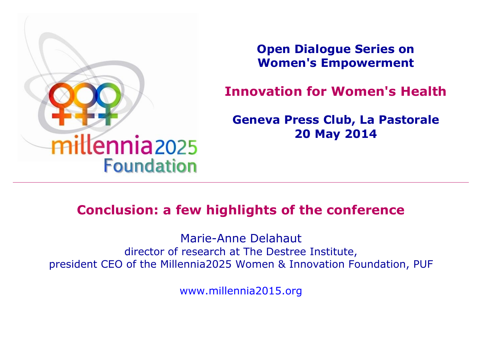

**Open Dialogue Series on Women's Empowerment**

**Innovation for Women's Health**

**Geneva Press Club, La Pastorale 20 May 2014**

#### **Conclusion: a few highlights of the conference**

Marie-Anne Delahaut director of research at The Destree Institute, president CEO of the Millennia2025 Women & Innovation Foundation, PUF

[www.millennia2015.org](http://www.millennia2015.org/)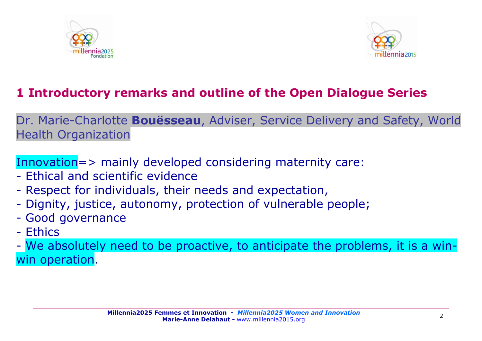



## **1 Introductory remarks and outline of the Open Dialogue Series**

Dr. Marie-Charlotte **Bouësseau**, Adviser, Service Delivery and Safety, World Health Organization

Innovation=> mainly developed considering maternity care:

- Ethical and scientific evidence
- Respect for individuals, their needs and expectation,
- Dignity, justice, autonomy, protection of vulnerable people;
- Good governance
- Ethics

- We absolutely need to be proactive, to anticipate the problems, it is a winwin operation.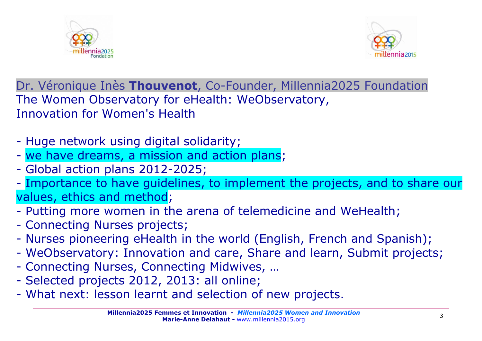



Dr. Véronique Inès **Thouvenot**, Co-Founder, Millennia2025 Foundation The Women Observatory for eHealth: WeObservatory, Innovation for Women's Health

- Huge network using digital solidarity;
- we have dreams, a mission and action plans;
- Global action plans 2012-2025;
- Importance to have guidelines, to implement the projects, and to share our values, ethics and method;
- Putting more women in the arena of telemedicine and WeHealth;
- Connecting Nurses projects;
- Nurses pioneering eHealth in the world (English, French and Spanish);
- WeObservatory: Innovation and care, Share and learn, Submit projects;
- Connecting Nurses, Connecting Midwives, …
- Selected projects 2012, 2013: all online;
- What next: lesson learnt and selection of new projects.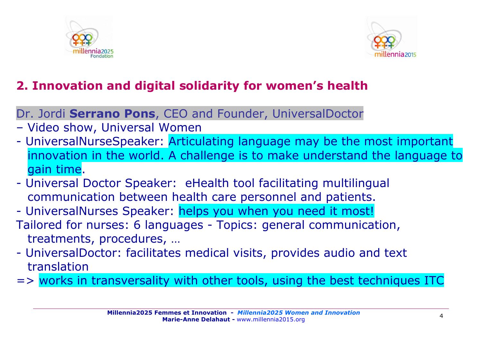



# **2. Innovation and digital solidarity for women's health**

Dr. Jordi **Serrano Pons**, CEO and Founder, UniversalDoctor

- Video show, Universal Women
- UniversalNurseSpeaker: Articulating language may be the most important innovation in the world. A challenge is to make understand the language to gain time.
- Universal Doctor Speaker: eHealth tool facilitating multilingual communication between health care personnel and patients.
- UniversalNurses Speaker: helps you when you need it most!
- Tailored for nurses: 6 languages Topics: general communication, treatments, procedures, …
- UniversalDoctor: facilitates medical visits, provides audio and text translation

 $\Rightarrow$  works in transversality with other tools, using the best techniques ITC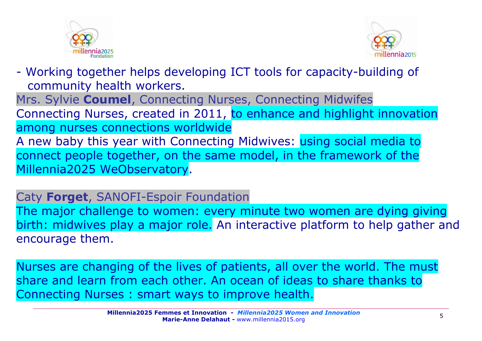



- Working together helps developing ICT tools for capacity-building of community health workers. Mrs. Sylvie **Coumel**, Connecting Nurses, Connecting Midwifes Connecting Nurses, created in 2011, to enhance and highlight innovation among nurses connections worldwide A new baby this year with Connecting Midwives: using social media to connect people together, on the same model, in the framework of the Millennia2025 WeObservatory.

Caty **Forget**, SANOFI-Espoir Foundation

The major challenge to women: every minute two women are dying giving birth: midwives play a major role. An interactive platform to help gather and encourage them.

Nurses are changing of the lives of patients, all over the world. The must share and learn from each other. An ocean of ideas to share thanks to Connecting Nurses : smart ways to improve health.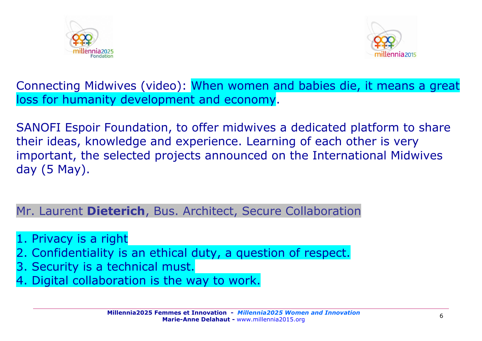



Connecting Midwives (video): When women and babies die, it means a great loss for humanity development and economy.

SANOFI Espoir Foundation, to offer midwives a dedicated platform to share their ideas, knowledge and experience. Learning of each other is very important, the selected projects announced on the International Midwives day (5 May).

Mr. Laurent **Dieterich**, Bus. Architect, Secure Collaboration

- 1. Privacy is a right
- 2. Confidentiality is an ethical duty, a question of respect.
- 3. Security is a technical must.
- 4. Digital collaboration is the way to work.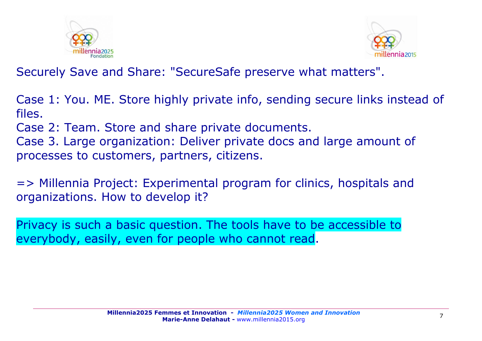



Securely Save and Share: "SecureSafe preserve what matters".

Case 1: You. ME. Store highly private info, sending secure links instead of files.

Case 2: Team. Store and share private documents.

Case 3. Large organization: Deliver private docs and large amount of processes to customers, partners, citizens.

=> Millennia Project: Experimental program for clinics, hospitals and organizations. How to develop it?

Privacy is such a basic question. The tools have to be accessible to everybody, easily, even for people who cannot read.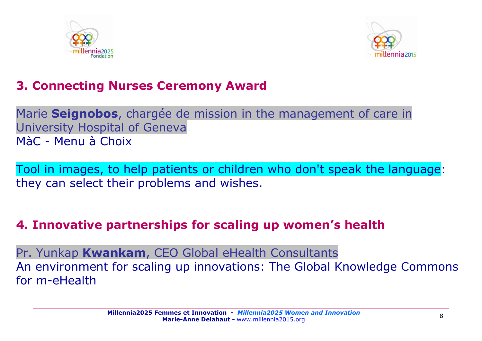



## **3. Connecting Nurses Ceremony Award**

Marie **Seignobos**, chargée de mission in the management of care in University Hospital of Geneva MàC - Menu à Choix

Tool in images, to help patients or children who don't speak the language: they can select their problems and wishes.

#### **4. Innovative partnerships for scaling up women's health**

Pr. Yunkap **Kwankam**, CEO Global eHealth Consultants An environment for scaling up innovations: The Global Knowledge Commons for m-eHealth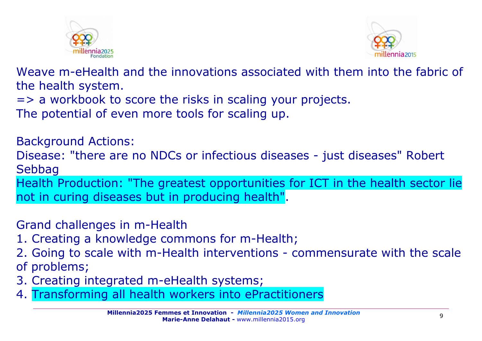



Weave m-eHealth and the innovations associated with them into the fabric of the health system.

=> a workbook to score the risks in scaling your projects.

The potential of even more tools for scaling up.

Background Actions: Disease: "there are no NDCs or infectious diseases - just diseases" Robert Sebbag Health Production: "The greatest opportunities for ICT in the health sector lie not in curing diseases but in producing health".

Grand challenges in m-Health

1. Creating a knowledge commons for m-Health;

2. Going to scale with m-Health interventions - commensurate with the scale of problems;

- 3. Creating integrated m-eHealth systems;
- 4. Transforming all health workers into ePractitioners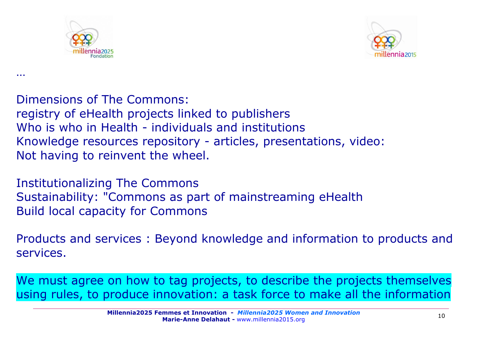

…



Dimensions of The Commons: registry of eHealth projects linked to publishers Who is who in Health - individuals and institutions Knowledge resources repository - articles, presentations, video: Not having to reinvent the wheel.

Institutionalizing The Commons Sustainability: "Commons as part of mainstreaming eHealth Build local capacity for Commons

Products and services : Beyond knowledge and information to products and services.

We must agree on how to tag projects, to describe the projects themselves using rules, to produce innovation: a task force to make all the information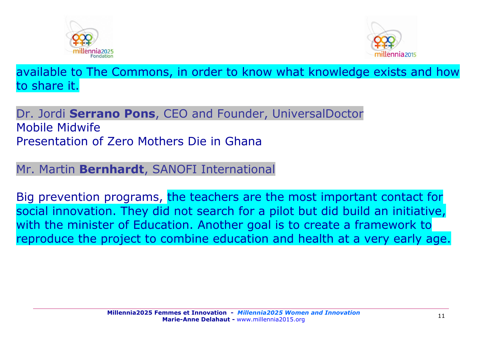



available to The Commons, in order to know what knowledge exists and how to share it.

#### Dr. Jordi **Serrano Pons**, CEO and Founder, UniversalDoctor Mobile Midwife Presentation of Zero Mothers Die in Ghana

#### Mr. Martin **Bernhardt**, SANOFI International

Big prevention programs, the teachers are the most important contact for social innovation. They did not search for a pilot but did build an initiative, with the minister of Education. Another goal is to create a framework to reproduce the project to combine education and health at a very early age.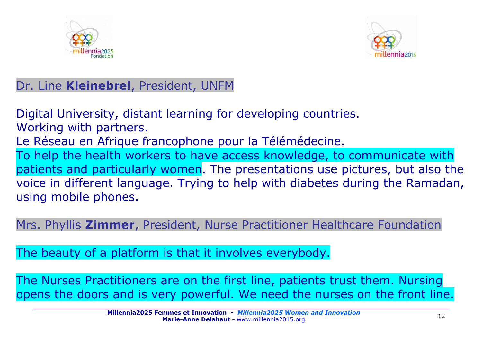



## Dr. Line **Kleinebrel**, President, UNFM

Digital University, distant learning for developing countries. Working with partners. Le Réseau en Afrique francophone pour la Télémédecine. To help the health workers to have access knowledge, to communicate with patients and particularly women. The presentations use pictures, but also the voice in different language. Trying to help with diabetes during the Ramadan, using mobile phones.

Mrs. Phyllis **Zimmer**, President, Nurse Practitioner Healthcare Foundation

The beauty of a platform is that it involves everybody.

The Nurses Practitioners are on the first line, patients trust them. Nursing opens the doors and is very powerful. We need the nurses on the front line.